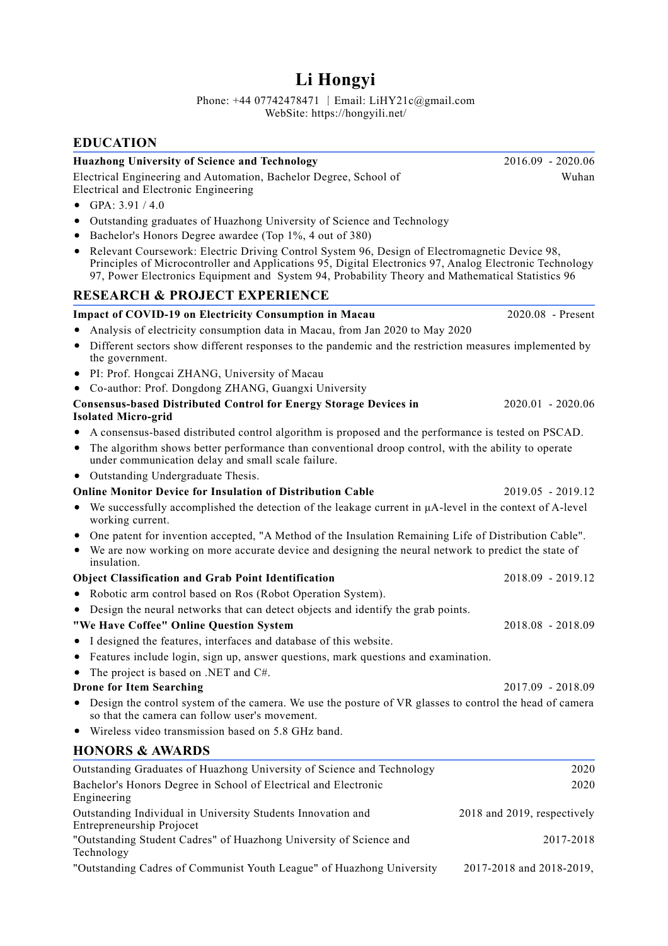## **Li Hongyi**

Phone: +44 07742478471 丨Email: LiHY21c@gmail.com WebSite: https://hongyili.net/

## **EDUCATION**

| <b>Huazhong University of Science and Technology</b>                                                                                                                                                                                                                                                              | 2016.09 - 2020.06           |
|-------------------------------------------------------------------------------------------------------------------------------------------------------------------------------------------------------------------------------------------------------------------------------------------------------------------|-----------------------------|
| Electrical Engineering and Automation, Bachelor Degree, School of<br>Electrical and Electronic Engineering                                                                                                                                                                                                        | Wuhan                       |
| GPA: 3.91 / 4.0                                                                                                                                                                                                                                                                                                   |                             |
| Outstanding graduates of Huazhong University of Science and Technology<br>٠<br>Bachelor's Honors Degree awardee (Top 1%, 4 out of 380)<br>٠                                                                                                                                                                       |                             |
| Relevant Coursework: Electric Driving Control System 96, Design of Electromagnetic Device 98,<br>٠<br>Principles of Microcontroller and Applications 95, Digital Electronics 97, Analog Electronic Technology<br>97, Power Electronics Equipment and System 94, Probability Theory and Mathematical Statistics 96 |                             |
| <b>RESEARCH &amp; PROJECT EXPERIENCE</b>                                                                                                                                                                                                                                                                          |                             |
| Impact of COVID-19 on Electricity Consumption in Macau                                                                                                                                                                                                                                                            | 2020.08 - Present           |
| Analysis of electricity consumption data in Macau, from Jan 2020 to May 2020                                                                                                                                                                                                                                      |                             |
| Different sectors show different responses to the pandemic and the restriction measures implemented by<br>٠<br>the government.                                                                                                                                                                                    |                             |
| PI: Prof. Hongcai ZHANG, University of Macau<br>٠                                                                                                                                                                                                                                                                 |                             |
| Co-author: Prof. Dongdong ZHANG, Guangxi University<br>٠                                                                                                                                                                                                                                                          |                             |
| <b>Consensus-based Distributed Control for Energy Storage Devices in</b><br><b>Isolated Micro-grid</b>                                                                                                                                                                                                            | 2020.01 - 2020.06           |
| A consensus-based distributed control algorithm is proposed and the performance is tested on PSCAD.<br>٠                                                                                                                                                                                                          |                             |
| The algorithm shows better performance than conventional droop control, with the ability to operate<br>٠<br>under communication delay and small scale failure.                                                                                                                                                    |                             |
| • Outstanding Undergraduate Thesis.                                                                                                                                                                                                                                                                               |                             |
| <b>Online Monitor Device for Insulation of Distribution Cable</b>                                                                                                                                                                                                                                                 | 2019.05 - 2019.12           |
| We successfully accomplished the detection of the leakage current in µA-level in the context of A-level<br>working current.                                                                                                                                                                                       |                             |
| One patent for invention accepted, "A Method of the Insulation Remaining Life of Distribution Cable".<br>We are now working on more accurate device and designing the neural network to predict the state of<br>٠<br>insulation.                                                                                  |                             |
| <b>Object Classification and Grab Point Identification</b>                                                                                                                                                                                                                                                        | 2018.09 - 2019.12           |
| Robotic arm control based on Ros (Robot Operation System).<br>٠                                                                                                                                                                                                                                                   |                             |
| Design the neural networks that can detect objects and identify the grab points.                                                                                                                                                                                                                                  |                             |
| "We Have Coffee" Online Question System                                                                                                                                                                                                                                                                           | 2018.08 - 2018.09           |
| • I designed the features, interfaces and database of this website.                                                                                                                                                                                                                                               |                             |
| Features include login, sign up, answer questions, mark questions and examination.                                                                                                                                                                                                                                |                             |
| The project is based on .NET and C#.                                                                                                                                                                                                                                                                              |                             |
| <b>Drone for Item Searching</b>                                                                                                                                                                                                                                                                                   | 2017.09 - 2018.09           |
| Design the control system of the camera. We use the posture of VR glasses to control the head of camera<br>so that the camera can follow user's movement.                                                                                                                                                         |                             |
| Wireless video transmission based on 5.8 GHz band.<br>٠                                                                                                                                                                                                                                                           |                             |
| <b>HONORS &amp; AWARDS</b>                                                                                                                                                                                                                                                                                        |                             |
| Outstanding Graduates of Huazhong University of Science and Technology                                                                                                                                                                                                                                            | 2020                        |
| Bachelor's Honors Degree in School of Electrical and Electronic<br>Engineering                                                                                                                                                                                                                                    | 2020                        |
| Outstanding Individual in University Students Innovation and<br>Entrepreneurship Projocet                                                                                                                                                                                                                         | 2018 and 2019, respectively |
| "Outstanding Student Cadres" of Huazhong University of Science and<br>Technology                                                                                                                                                                                                                                  | 2017-2018                   |

"Outstanding Cadres of Communist Youth League" of Huazhong University 2017-2018 and 2018-2019,